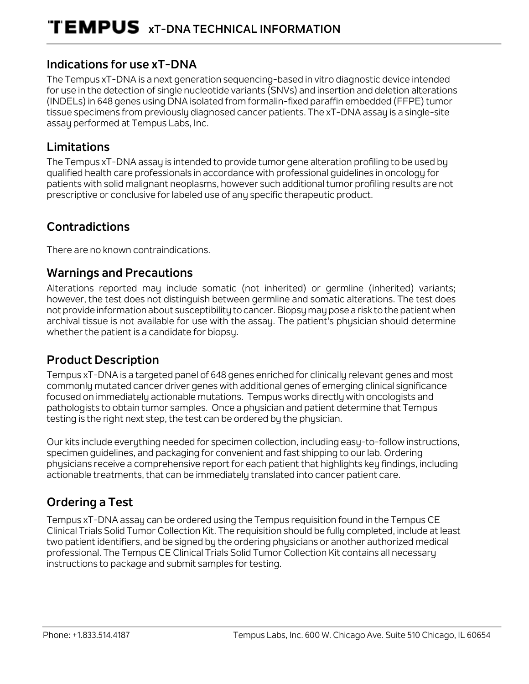## **Indications for use xT-DNA**

The Tempus xT-DNA is a next generation sequencing-based in vitro diagnostic device intended for use in the detection of single nucleotide variants (SNVs) and insertion and deletion alterations (INDELs) in 648 genes using DNA isolated from formalin-fixed paraffin embedded (FFPE) tumor tissue specimens from previously diagnosed cancer patients. The xT-DNA assay is a single-site assay performed at Tempus Labs, Inc.

## **Limitations**

The Tempus xT-DNA assay is intended to provide tumor gene alteration profiling to be used by qualified health care professionals in accordance with professional guidelines in oncology for patients with solid malignant neoplasms, however such additional tumor profiling results are not prescriptive or conclusive for labeled use of any specific therapeutic product.

## **Contradictions**

There are no known contraindications.

## **Warnings and Precautions**

Alterations reported may include somatic (not inherited) or germline (inherited) variants; however, the test does not distinguish between germline and somatic alterations. The test does not provide information about susceptibility to cancer. Biopsy may pose a risk to the patient when archival tissue is not available for use with the assay. The patient's physician should determine whether the patient is a candidate for biopsy.

## **Product Description**

Tempus xT-DNA is a targeted panel of 648 genes enriched for clinically relevant genes and most commonly mutated cancer driver genes with additional genes of emerging clinical significance focused on immediately actionable mutations. Tempus works directly with oncologists and pathologists to obtain tumor samples. Once a physician and patient determine that Tempus testing is the right next step, the test can be ordered by the physician.

Our kits include everything needed for specimen collection, including easy-to-follow instructions, specimen guidelines, and packaging for convenient and fast shipping to our lab. Ordering physicians receive a comprehensive report for each patient that highlights key findings, including actionable treatments, that can be immediately translated into cancer patient care.

## **Ordering a Test**

Tempus xT-DNA assay can be ordered using the Tempus requisition found in the Tempus CE Clinical Trials Solid Tumor Collection Kit. The requisition should be fully completed, include at least two patient identifiers, and be signed by the ordering physicians or another authorized medical professional. The Tempus CE Clinical Trials Solid Tumor Collection Kit contains all necessary instructions to package and submit samples for testing.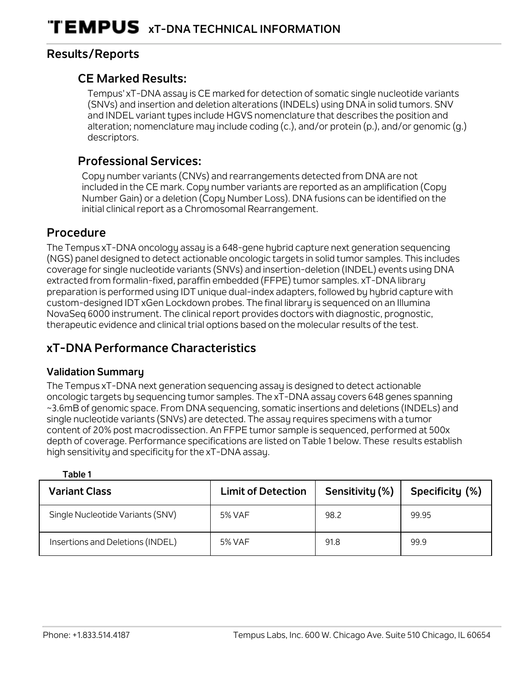## **Results/Reports**

#### **CE Marked Results:**

Tempus' xT-DNA assay is CE marked for detection of somatic single nucleotide variants (SNVs) and insertion and deletion alterations (INDELs) using DNA in solid tumors. SNV and INDEL variant types include HGVS nomenclature that describes the position and alteration; nomenclature may include coding (c.), and/or protein (p.), and/or genomic (g.) descriptors.

## **Professional Services:**

Copy number variants (CNVs) and rearrangements detected from DNA are not included in the CE mark. Copy number variants are reported as an amplification (Copy Number Gain) or a deletion (Copy Number Loss). DNA fusions can be identified on the initial clinical report as a Chromosomal Rearrangement.

## **Procedure**

The Tempus xT-DNA oncology assay is a 648-gene hybrid capture next generation sequencing (NGS) panel designed to detect actionable oncologic targets in solid tumor samples. This includes coverage for single nucleotide variants (SNVs) and insertion-deletion (INDEL) events using DNA extracted from formalin-fixed, paraffin embedded (FFPE) tumor samples. xT-DNA library preparation is performed using IDT unique dual-index adapters, followed by hybrid capture with custom-designed IDT xGen Lockdown probes. The final library is sequenced on an Illumina NovaSeq 6000 instrument. The clinical report provides doctors with diagnostic, prognostic, therapeutic evidence and clinical trial options based on the molecular results of the test.

## **xT-DNA Performance Characteristics**

#### **Validation Summary**

**Table 1** 

The Tempus xT-DNA next generation sequencing assay is designed to detect actionable oncologic targets by sequencing tumor samples. The xT-DNA assay covers 648 genes spanning ~3.6mB of genomic space. From DNA sequencing, somatic insertions and deletions (INDELs) and single nucleotide variants (SNVs) are detected. The assay requires specimens with a tumor content of 20% post macrodissection. An FFPE tumor sample is sequenced, performed at 500x depth of coverage. Performance specifications are listed on Table 1 below. These results establish high sensitivity and specificity for the xT-DNA assay.

| <b>Variant Class</b>             | <b>Limit of Detection</b> | Sensitivity (%) | Specificity (%) |
|----------------------------------|---------------------------|-----------------|-----------------|
| Single Nucleotide Variants (SNV) | 5% VAF                    | 98.2            | 99.95           |
| Insertions and Deletions (INDEL) | 5% VAF                    | 91.8            | 99.9            |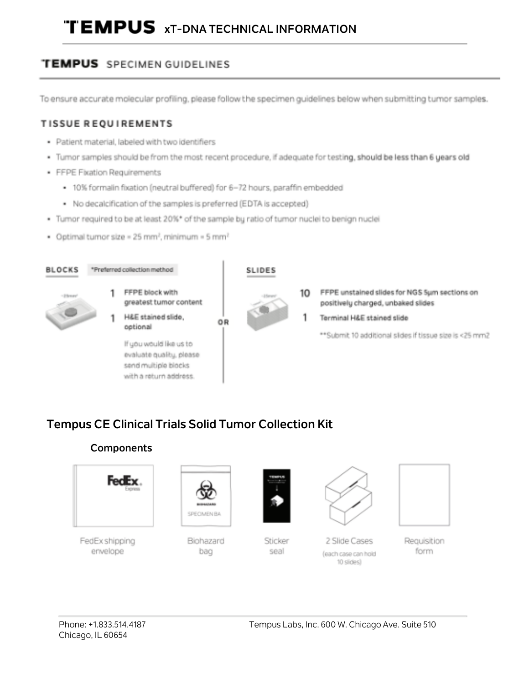# **TEMPUS xT-DNA TECHNICAL INFORMATION**

## **TEMPUS** SPECIMEN GUIDELINES

To ensure accurate molecular profiling, please follow the specimen guidelines below when submitting tumor samples.

#### TISSUE REQUIREMENTS

- · Patient material, labeled with two identifiers
- Tumor samples should be from the most recent procedure, if adequate for testing, should be less than 6 years old
- · FFPE Fixation Requirements
	- . 10% formalin fixation (neutral buffered) for 6-72 hours, paraffin embedded
	- . No decalcification of the samples is preferred (EDTA is accepted)
- Tumor required to be at least 20%\* of the sample by ratio of tumor nuclei to benign nuclei
- Optimal tumor size = 25 mm<sup>2</sup>, minimum = 5 mm<sup>2</sup>



## **Tempus CE Clinical Trials Solid Tumor Collection Kit**

## **Components**



FedEx shipping envelope



Biohazard bag



Sticker seal



2 Slide Cases (each case can hold 10 slides)



Requisition form